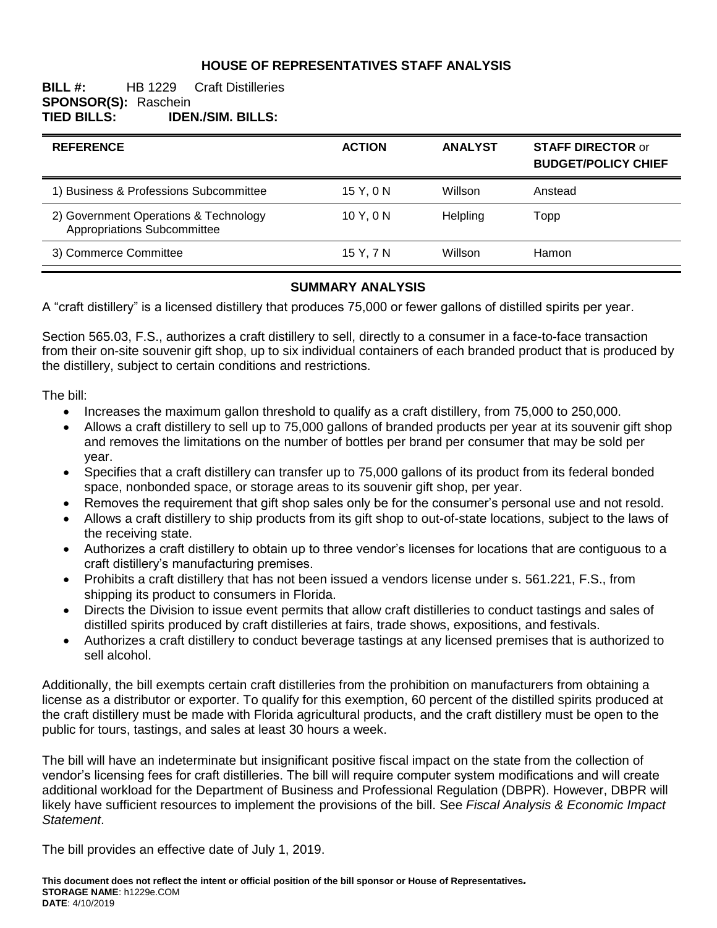# **HOUSE OF REPRESENTATIVES STAFF ANALYSIS**

## **BILL #:** HB 1229 Craft Distilleries **SPONSOR(S): Raschein<br>TIED BILLS: IDEI TIED BILLS: IDEN./SIM. BILLS:**

| <b>REFERENCE</b>                                                     | <b>ACTION</b> | <b>ANALYST</b> | <b>STAFF DIRECTOR or</b><br><b>BUDGET/POLICY CHIEF</b> |
|----------------------------------------------------------------------|---------------|----------------|--------------------------------------------------------|
| 1) Business & Professions Subcommittee                               | 15Y.0N        | Willson        | Anstead                                                |
| 2) Government Operations & Technology<br>Appropriations Subcommittee | 10Y, 0N       | Helpling       | Topp                                                   |
| 3) Commerce Committee                                                | 15 Y, 7 N     | Willson        | <b>Hamon</b>                                           |

### **SUMMARY ANALYSIS**

A "craft distillery" is a licensed distillery that produces 75,000 or fewer gallons of distilled spirits per year.

Section 565.03, F.S., authorizes a craft distillery to sell, directly to a consumer in a face-to-face transaction from their on-site souvenir gift shop, up to six individual containers of each branded product that is produced by the distillery, subject to certain conditions and restrictions.

The bill:

- Increases the maximum gallon threshold to qualify as a craft distillery, from 75,000 to 250,000.
- Allows a craft distillery to sell up to 75,000 gallons of branded products per year at its souvenir gift shop and removes the limitations on the number of bottles per brand per consumer that may be sold per year.
- Specifies that a craft distillery can transfer up to 75,000 gallons of its product from its federal bonded space, nonbonded space, or storage areas to its souvenir gift shop, per year.
- Removes the requirement that gift shop sales only be for the consumer's personal use and not resold.
- Allows a craft distillery to ship products from its gift shop to out-of-state locations, subject to the laws of the receiving state.
- Authorizes a craft distillery to obtain up to three vendor's licenses for locations that are contiguous to a craft distillery's manufacturing premises.
- Prohibits a craft distillery that has not been issued a vendors license under s. 561.221, F.S., from shipping its product to consumers in Florida.
- Directs the Division to issue event permits that allow craft distilleries to conduct tastings and sales of distilled spirits produced by craft distilleries at fairs, trade shows, expositions, and festivals.
- Authorizes a craft distillery to conduct beverage tastings at any licensed premises that is authorized to sell alcohol.

Additionally, the bill exempts certain craft distilleries from the prohibition on manufacturers from obtaining a license as a distributor or exporter. To qualify for this exemption, 60 percent of the distilled spirits produced at the craft distillery must be made with Florida agricultural products, and the craft distillery must be open to the public for tours, tastings, and sales at least 30 hours a week.

The bill will have an indeterminate but insignificant positive fiscal impact on the state from the collection of vendor's licensing fees for craft distilleries. The bill will require computer system modifications and will create additional workload for the Department of Business and Professional Regulation (DBPR). However, DBPR will likely have sufficient resources to implement the provisions of the bill. See *Fiscal Analysis & Economic Impact Statement*.

The bill provides an effective date of July 1, 2019.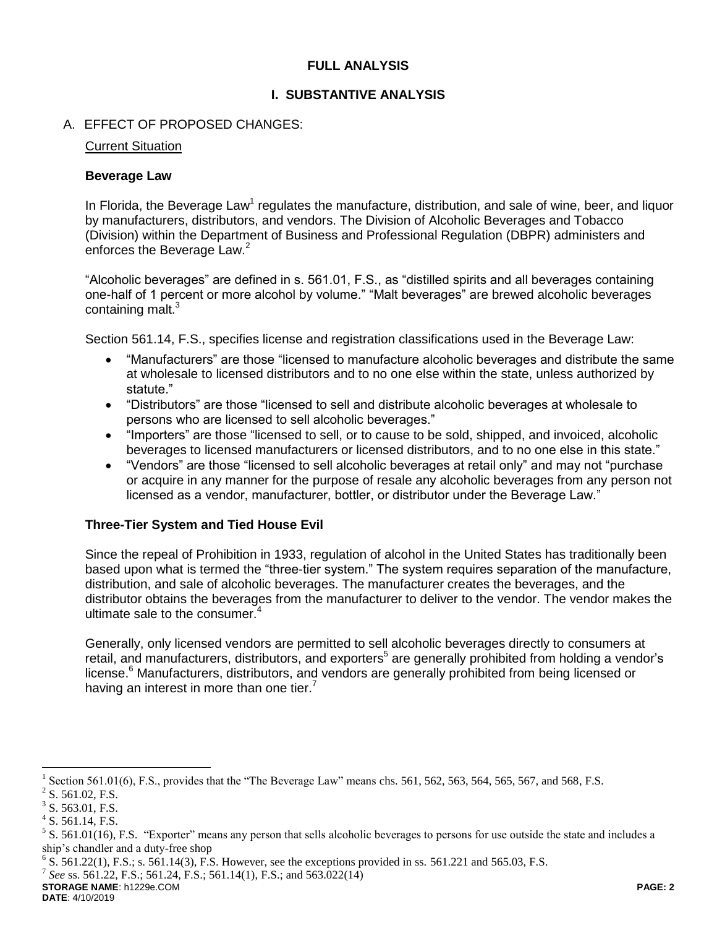## **FULL ANALYSIS**

## **I. SUBSTANTIVE ANALYSIS**

### A. EFFECT OF PROPOSED CHANGES:

#### Current Situation

#### **Beverage Law**

In Florida, the Beverage Law<sup>1</sup> regulates the manufacture, distribution, and sale of wine, beer, and liquor by manufacturers, distributors, and vendors. The Division of Alcoholic Beverages and Tobacco (Division) within the Department of Business and Professional Regulation (DBPR) administers and enforces the Beverage Law.<sup>2</sup>

"Alcoholic beverages" are defined in s. 561.01, F.S., as "distilled spirits and all beverages containing one-half of 1 percent or more alcohol by volume." "Malt beverages" are brewed alcoholic beverages containing malt.<sup>3</sup>

Section 561.14, F.S., specifies license and registration classifications used in the Beverage Law:

- "Manufacturers" are those "licensed to manufacture alcoholic beverages and distribute the same at wholesale to licensed distributors and to no one else within the state, unless authorized by statute."
- "Distributors" are those "licensed to sell and distribute alcoholic beverages at wholesale to persons who are licensed to sell alcoholic beverages."
- "Importers" are those "licensed to sell, or to cause to be sold, shipped, and invoiced, alcoholic beverages to licensed manufacturers or licensed distributors, and to no one else in this state."
- "Vendors" are those "licensed to sell alcoholic beverages at retail only" and may not "purchase or acquire in any manner for the purpose of resale any alcoholic beverages from any person not licensed as a vendor, manufacturer, bottler, or distributor under the Beverage Law."

#### **Three-Tier System and Tied House Evil**

Since the repeal of Prohibition in 1933, regulation of alcohol in the United States has traditionally been based upon what is termed the "three-tier system." The system requires separation of the manufacture, distribution, and sale of alcoholic beverages. The manufacturer creates the beverages, and the distributor obtains the beverages from the manufacturer to deliver to the vendor. The vendor makes the ultimate sale to the consumer.<sup>4</sup>

Generally, only licensed vendors are permitted to sell alcoholic beverages directly to consumers at retail, and manufacturers, distributors, and exporters<sup>5</sup> are generally prohibited from holding a vendor's license. <sup>6</sup> Manufacturers, distributors, and vendors are generally prohibited from being licensed or having an interest in more than one tier.<sup>7</sup>

 $\overline{a}$ 

**STORAGE NAME**: h1229e.COM **PAGE: 2 DATE**: 4/10/2019

<sup>&</sup>lt;sup>1</sup> Section 561.01(6), F.S., provides that the "The Beverage Law" means chs. 561, 562, 563, 564, 565, 567, and 568, F.S.

 $2^2$  S. 561.02, F.S.

 $3$  S. 563.01, F.S.

 $4$  S. 561.14, F.S.

 $5$  S. 561.01(16), F.S. "Exporter" means any person that sells alcoholic beverages to persons for use outside the state and includes a ship's chandler and a duty-free shop

 $6$  S. 561.22(1), F.S.; s. 561.14(3), F.S. However, see the exceptions provided in ss. 561.221 and 565.03, F.S.

<sup>7</sup> *See* ss. 561.22, F.S.; 561.24, F.S.; 561.14(1), F.S.; and 563.022(14)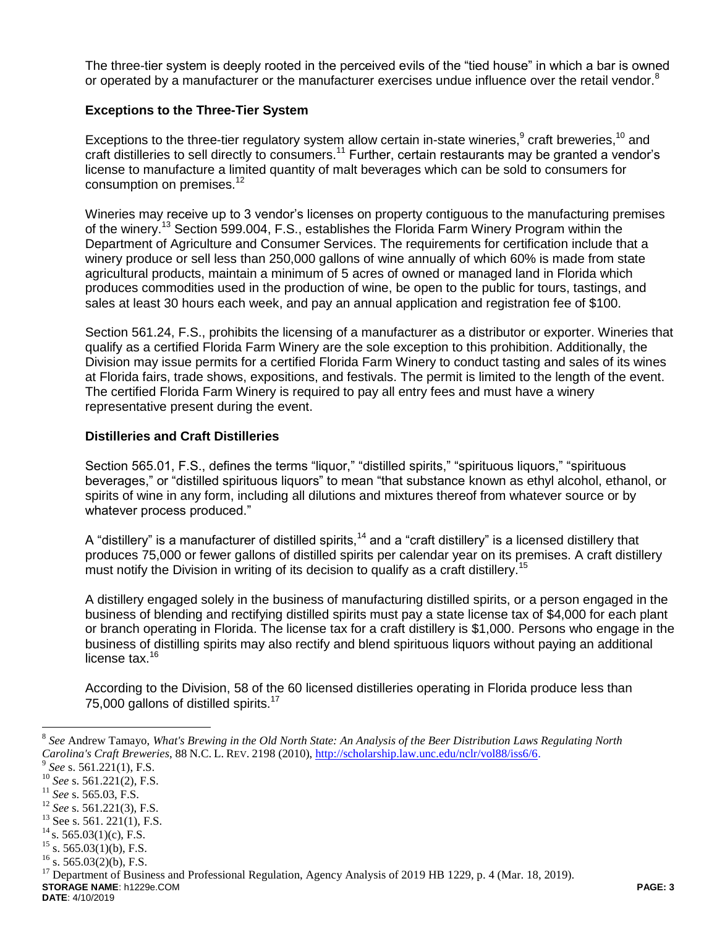The three-tier system is deeply rooted in the perceived evils of the "tied house" in which a bar is owned or operated by a manufacturer or the manufacturer exercises undue influence over the retail vendor.<sup>8</sup>

## **Exceptions to the Three-Tier System**

Exceptions to the three-tier regulatory system allow certain in-state wineries, $9$  craft breweries,  $10$  and craft distilleries to sell directly to consumers.<sup>11</sup> Further, certain restaurants may be granted a vendor's license to manufacture a limited quantity of malt beverages which can be sold to consumers for consumption on premises.<sup>12</sup>

Wineries may receive up to 3 vendor's licenses on property contiguous to the manufacturing premises of the winery.<sup>13</sup> Section 599.004, F.S., establishes the Florida Farm Winery Program within the Department of Agriculture and Consumer Services. The requirements for certification include that a winery produce or sell less than 250,000 gallons of wine annually of which 60% is made from state agricultural products, maintain a minimum of 5 acres of owned or managed land in Florida which produces commodities used in the production of wine, be open to the public for tours, tastings, and sales at least 30 hours each week, and pay an annual application and registration fee of \$100.

Section 561.24, F.S., prohibits the licensing of a manufacturer as a distributor or exporter. Wineries that qualify as a certified Florida Farm Winery are the sole exception to this prohibition. Additionally, the Division may issue permits for a certified Florida Farm Winery to conduct tasting and sales of its wines at Florida fairs, trade shows, expositions, and festivals. The permit is limited to the length of the event. The certified Florida Farm Winery is required to pay all entry fees and must have a winery representative present during the event.

#### **Distilleries and Craft Distilleries**

Section 565.01, F.S., defines the terms "liquor," "distilled spirits," "spirituous liquors," "spirituous beverages," or "distilled spirituous liquors" to mean "that substance known as ethyl alcohol, ethanol, or spirits of wine in any form, including all dilutions and mixtures thereof from whatever source or by whatever process produced."

A "distillery" is a manufacturer of distilled spirits,<sup>14</sup> and a "craft distillery" is a licensed distillery that produces 75,000 or fewer gallons of distilled spirits per calendar year on its premises. A craft distillery must notify the Division in writing of its decision to qualify as a craft distillery.<sup>15</sup>

A distillery engaged solely in the business of manufacturing distilled spirits, or a person engaged in the business of blending and rectifying distilled spirits must pay a state license tax of \$4,000 for each plant or branch operating in Florida. The license tax for a craft distillery is \$1,000. Persons who engage in the business of distilling spirits may also rectify and blend spirituous liquors without paying an additional license tax.<sup>16</sup>

According to the Division, 58 of the 60 licensed distilleries operating in Florida produce less than 75,000 gallons of distilled spirits.<sup>17</sup>

 $\overline{a}$ 

<sup>8</sup> *See* Andrew Tamayo, *What's Brewing in the Old North State: An Analysis of the Beer Distribution Laws Regulating North Carolina's Craft Breweries*, 88 N.C. L. REV. 2198 (2010), [http://scholarship.law.unc.edu/nclr/vol88/iss6/6.](http://scholarship.law.unc.edu/nclr/vol88/iss6/6) 9

*See* s. 561.221(1), F.S.

<sup>&</sup>lt;sup>10</sup> *See* s. 561.221(2), F.S.

<sup>11</sup> *See* s. 565.03, F.S.

<sup>12</sup> *See* s. 561.221(3), F.S.

 $13$  See s. 561. 221(1), F.S.

 $14$  s. 565.03(1)(c), F.S.

 $15$  s. 565.03(1)(b), F.S.

 $^{16}$  s. 565.03(2)(b), F.S.

**STORAGE NAME**: h1229e.COM **PAGE: 3** <sup>17</sup> Department of Business and Professional Regulation, Agency Analysis of 2019 HB 1229, p. 4 (Mar. 18, 2019).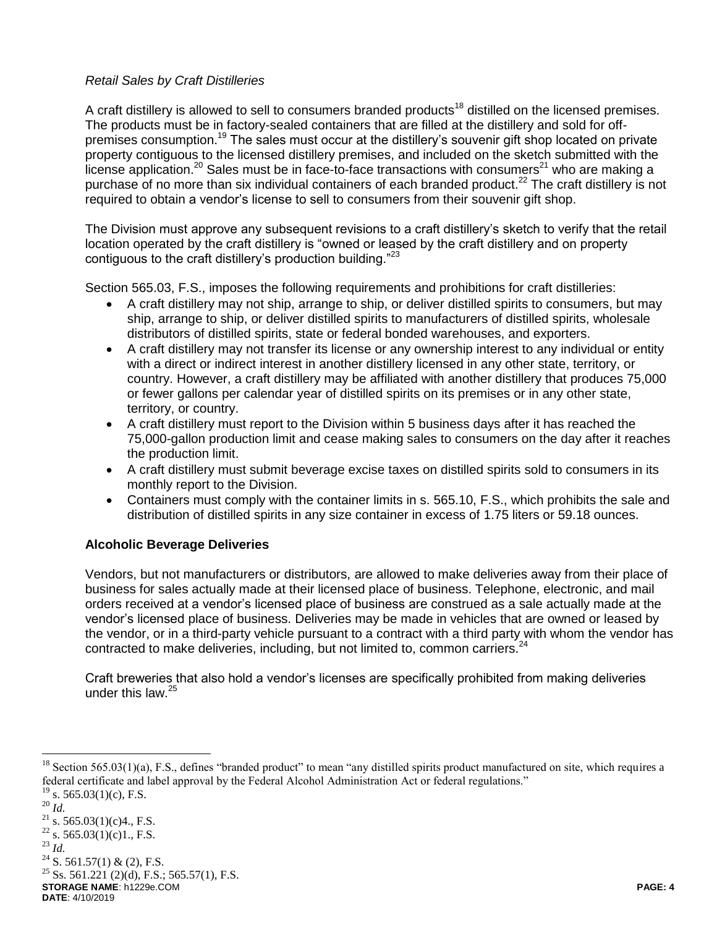# *Retail Sales by Craft Distilleries*

A craft distillery is allowed to sell to consumers branded products<sup>18</sup> distilled on the licensed premises. The products must be in factory-sealed containers that are filled at the distillery and sold for offpremises consumption.<sup>19</sup> The sales must occur at the distillery's souvenir gift shop located on private property contiguous to the licensed distillery premises, and included on the sketch submitted with the license application.<sup>20</sup> Sales must be in face-to-face transactions with consumers<sup>21</sup> who are making a purchase of no more than six individual containers of each branded product.<sup>22</sup> The craft distillery is not required to obtain a vendor's license to sell to consumers from their souvenir gift shop.

The Division must approve any subsequent revisions to a craft distillery's sketch to verify that the retail location operated by the craft distillery is "owned or leased by the craft distillery and on property contiguous to the craft distillery's production building."<sup>23</sup>

Section 565.03, F.S., imposes the following requirements and prohibitions for craft distilleries:

- A craft distillery may not ship, arrange to ship, or deliver distilled spirits to consumers, but may ship, arrange to ship, or deliver distilled spirits to manufacturers of distilled spirits, wholesale distributors of distilled spirits, state or federal bonded warehouses, and exporters.
- A craft distillery may not transfer its license or any ownership interest to any individual or entity with a direct or indirect interest in another distillery licensed in any other state, territory, or country. However, a craft distillery may be affiliated with another distillery that produces 75,000 or fewer gallons per calendar year of distilled spirits on its premises or in any other state, territory, or country.
- A craft distillery must report to the Division within 5 business days after it has reached the 75,000-gallon production limit and cease making sales to consumers on the day after it reaches the production limit.
- A craft distillery must submit beverage excise taxes on distilled spirits sold to consumers in its monthly report to the Division.
- Containers must comply with the container limits in s. 565.10, F.S., which prohibits the sale and distribution of distilled spirits in any size container in excess of 1.75 liters or 59.18 ounces.

# **Alcoholic Beverage Deliveries**

Vendors, but not manufacturers or distributors, are allowed to make deliveries away from their place of business for sales actually made at their licensed place of business. Telephone, electronic, and mail orders received at a vendor's licensed place of business are construed as a sale actually made at the vendor's licensed place of business. Deliveries may be made in vehicles that are owned or leased by the vendor, or in a third-party vehicle pursuant to a contract with a third party with whom the vendor has contracted to make deliveries, including, but not limited to, common carriers. $24$ 

Craft breweries that also hold a vendor's licenses are specifically prohibited from making deliveries under this law. $25$ 

 $\overline{a}$ 

 $24$  S. 561.57(1) & (2), F.S.

**STORAGE NAME**: h1229e.COM **PAGE: 4**  $^{25}$  Ss. 561.221 (2)(d), F.S.; 565.57(1), F.S.

Section 565.03(1)(a), F.S., defines "branded product" to mean "any distilled spirits product manufactured on site, which requires a federal certificate and label approval by the Federal Alcohol Administration Act or federal regulations."  $19$  s. 565.03(1)(c), F.S.

<sup>20</sup> *Id.*

<sup>&</sup>lt;sup>21</sup> s. 565.03(1)(c)4., F.S.  $^{22}$  s. 565.03(1)(c)1., F.S.

<sup>23</sup> *Id.*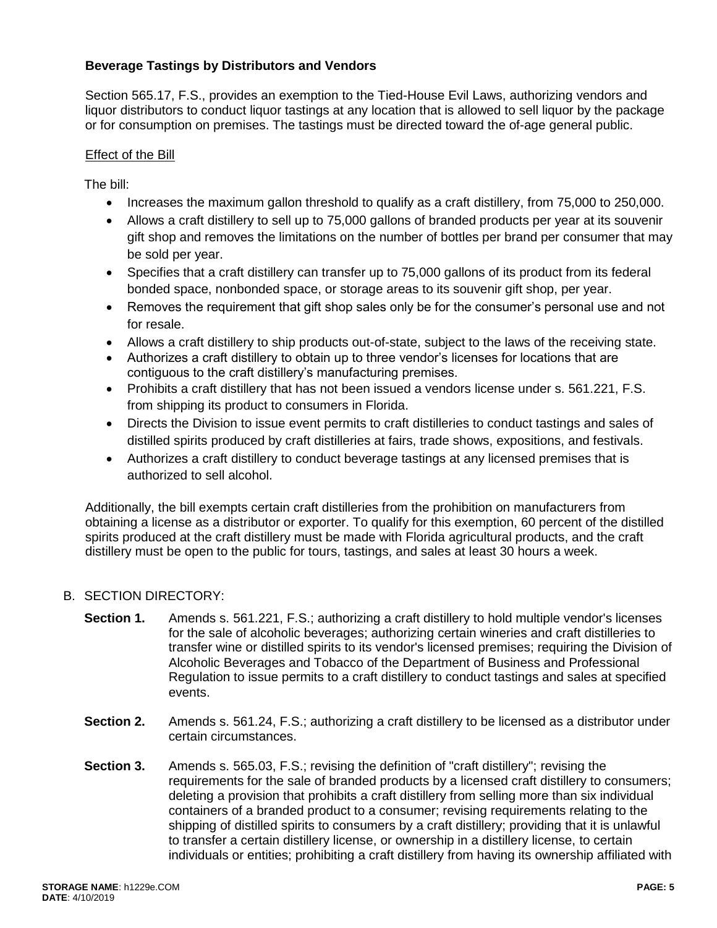# **Beverage Tastings by Distributors and Vendors**

Section 565.17, F.S., provides an exemption to the Tied-House Evil Laws, authorizing vendors and liquor distributors to conduct liquor tastings at any location that is allowed to sell liquor by the package or for consumption on premises. The tastings must be directed toward the of-age general public.

### Effect of the Bill

The bill:

- Increases the maximum gallon threshold to qualify as a craft distillery, from 75,000 to 250,000.
- Allows a craft distillery to sell up to 75,000 gallons of branded products per year at its souvenir gift shop and removes the limitations on the number of bottles per brand per consumer that may be sold per year.
- Specifies that a craft distillery can transfer up to 75,000 gallons of its product from its federal bonded space, nonbonded space, or storage areas to its souvenir gift shop, per year.
- Removes the requirement that gift shop sales only be for the consumer's personal use and not for resale.
- Allows a craft distillery to ship products out-of-state, subject to the laws of the receiving state.
- Authorizes a craft distillery to obtain up to three vendor's licenses for locations that are contiguous to the craft distillery's manufacturing premises.
- Prohibits a craft distillery that has not been issued a vendors license under s. 561.221, F.S. from shipping its product to consumers in Florida.
- Directs the Division to issue event permits to craft distilleries to conduct tastings and sales of distilled spirits produced by craft distilleries at fairs, trade shows, expositions, and festivals.
- Authorizes a craft distillery to conduct beverage tastings at any licensed premises that is authorized to sell alcohol.

Additionally, the bill exempts certain craft distilleries from the prohibition on manufacturers from obtaining a license as a distributor or exporter. To qualify for this exemption, 60 percent of the distilled spirits produced at the craft distillery must be made with Florida agricultural products, and the craft distillery must be open to the public for tours, tastings, and sales at least 30 hours a week.

## B. SECTION DIRECTORY:

- **Section 1.** Amends s. 561.221, F.S.; authorizing a craft distillery to hold multiple vendor's licenses for the sale of alcoholic beverages; authorizing certain wineries and craft distilleries to transfer wine or distilled spirits to its vendor's licensed premises; requiring the Division of Alcoholic Beverages and Tobacco of the Department of Business and Professional Regulation to issue permits to a craft distillery to conduct tastings and sales at specified events.
- **Section 2.** Amends s. 561.24, F.S.; authorizing a craft distillery to be licensed as a distributor under certain circumstances.
- **Section 3.** Amends s. 565.03, F.S.; revising the definition of "craft distillery"; revising the requirements for the sale of branded products by a licensed craft distillery to consumers; deleting a provision that prohibits a craft distillery from selling more than six individual containers of a branded product to a consumer; revising requirements relating to the shipping of distilled spirits to consumers by a craft distillery; providing that it is unlawful to transfer a certain distillery license, or ownership in a distillery license, to certain individuals or entities; prohibiting a craft distillery from having its ownership affiliated with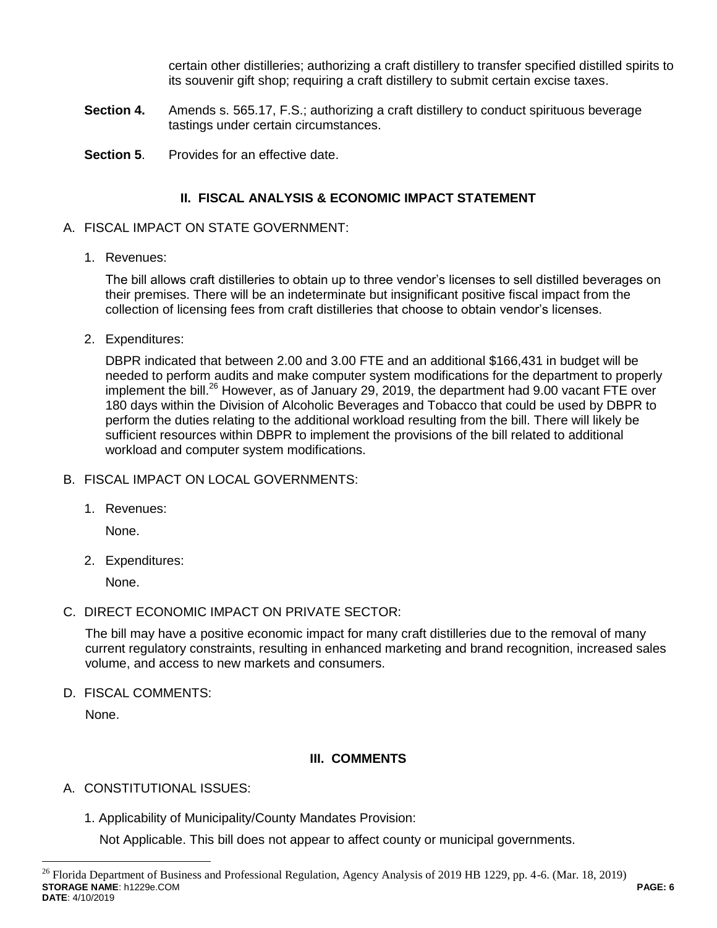certain other distilleries; authorizing a craft distillery to transfer specified distilled spirits to its souvenir gift shop; requiring a craft distillery to submit certain excise taxes.

- **Section 4.** Amends s. 565.17, F.S.; authorizing a craft distillery to conduct spirituous beverage tastings under certain circumstances.
- **Section 5.** Provides for an effective date.

# **II. FISCAL ANALYSIS & ECONOMIC IMPACT STATEMENT**

# A. FISCAL IMPACT ON STATE GOVERNMENT:

1. Revenues:

The bill allows craft distilleries to obtain up to three vendor's licenses to sell distilled beverages on their premises. There will be an indeterminate but insignificant positive fiscal impact from the collection of licensing fees from craft distilleries that choose to obtain vendor's licenses.

2. Expenditures:

DBPR indicated that between 2.00 and 3.00 FTE and an additional \$166,431 in budget will be needed to perform audits and make computer system modifications for the department to properly implement the bill.<sup>26</sup> However, as of January 29, 2019, the department had 9.00 vacant FTE over 180 days within the Division of Alcoholic Beverages and Tobacco that could be used by DBPR to perform the duties relating to the additional workload resulting from the bill. There will likely be sufficient resources within DBPR to implement the provisions of the bill related to additional workload and computer system modifications.

- B. FISCAL IMPACT ON LOCAL GOVERNMENTS:
	- 1. Revenues:

None.

2. Expenditures:

None.

C. DIRECT ECONOMIC IMPACT ON PRIVATE SECTOR:

The bill may have a positive economic impact for many craft distilleries due to the removal of many current regulatory constraints, resulting in enhanced marketing and brand recognition, increased sales volume, and access to new markets and consumers.

D. FISCAL COMMENTS:

None.

 $\overline{a}$ 

# **III. COMMENTS**

- A. CONSTITUTIONAL ISSUES:
	- 1. Applicability of Municipality/County Mandates Provision:

Not Applicable. This bill does not appear to affect county or municipal governments.

**STORAGE NAME**: h1229e.COM **PAGE: 6 DATE**: 4/10/2019  $^{26}$  Florida Department of Business and Professional Regulation, Agency Analysis of 2019 HB 1229, pp. 4-6. (Mar. 18, 2019)